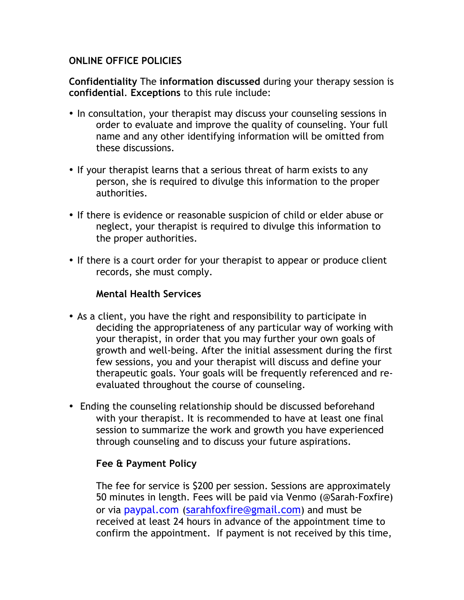## **ONLINE OFFICE POLICIES**

**Confidentiality** The **information discussed** during your therapy session is **confidential**. **Exceptions** to this rule include:

- In consultation, your therapist may discuss your counseling sessions in order to evaluate and improve the quality of counseling. Your full name and any other identifying information will be omitted from these discussions.
- If your therapist learns that a serious threat of harm exists to any person, she is required to divulge this information to the proper authorities.
- If there is evidence or reasonable suspicion of child or elder abuse or neglect, your therapist is required to divulge this information to the proper authorities.
- If there is a court order for your therapist to appear or produce client records, she must comply.

### **Mental Health Services**

- As a client, you have the right and responsibility to participate in deciding the appropriateness of any particular way of working with your therapist, in order that you may further your own goals of growth and well-being. After the initial assessment during the first few sessions, you and your therapist will discuss and define your therapeutic goals. Your goals will be frequently referenced and reevaluated throughout the course of counseling.
- Ending the counseling relationship should be discussed beforehand with your therapist. It is recommended to have at least one final session to summarize the work and growth you have experienced through counseling and to discuss your future aspirations.

#### **Fee & Payment Policy**

The fee for service is \$200 per session. Sessions are approximately 50 minutes in length. Fees will be paid via Venmo (@Sarah-Foxfire) or via paypal.com (sarahfoxfire@gmail.com) and must be received at least 24 hours in advance of the appointment time to confirm the appointment. If payment is not received by this time,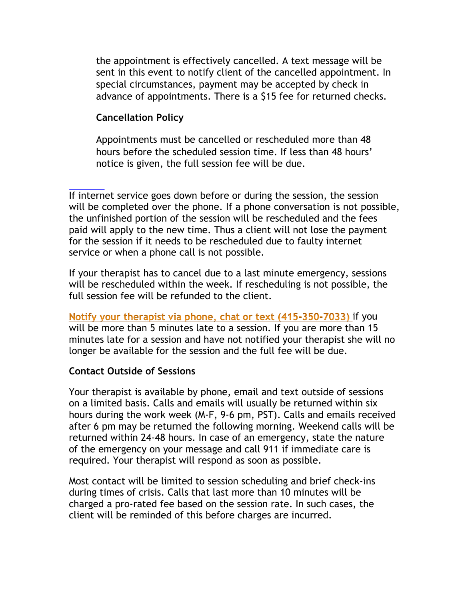the appointment is effectively cancelled. A text message will be sent in this event to notify client of the cancelled appointment. In special circumstances, payment may be accepted by check in advance of appointments. There is a \$15 fee for returned checks.

# **Cancellation Policy**

Appointments must be cancelled or rescheduled more than 48 hours before the scheduled session time. If less than 48 hours' notice is given, the full session fee will be due.

If internet service goes down before or during the session, the session will be completed over the phone. If a phone conversation is not possible, the unfinished portion of the session will be rescheduled and the fees paid will apply to the new time. Thus a client will not lose the payment for the session if it needs to be rescheduled due to faulty internet service or when a phone call is not possible.

If your therapist has to cancel due to a last minute emergency, sessions will be rescheduled within the week. If rescheduling is not possible, the full session fee will be refunded to the client.

Notify your therapist via phone, chat or text (415-350-7033) if you will be more than 5 minutes late to a session. If you are more than 15 minutes late for a session and have not notified your therapist she will no longer be available for the session and the full fee will be due.

## **Contact Outside of Sessions**

Your therapist is available by phone, email and text outside of sessions on a limited basis. Calls and emails will usually be returned within six hours during the work week (M-F, 9-6 pm, PST). Calls and emails received after 6 pm may be returned the following morning. Weekend calls will be returned within 24-48 hours. In case of an emergency, state the nature of the emergency on your message and call 911 if immediate care is required. Your therapist will respond as soon as possible.

Most contact will be limited to session scheduling and brief check-ins during times of crisis. Calls that last more than 10 minutes will be charged a pro-rated fee based on the session rate. In such cases, the client will be reminded of this before charges are incurred.